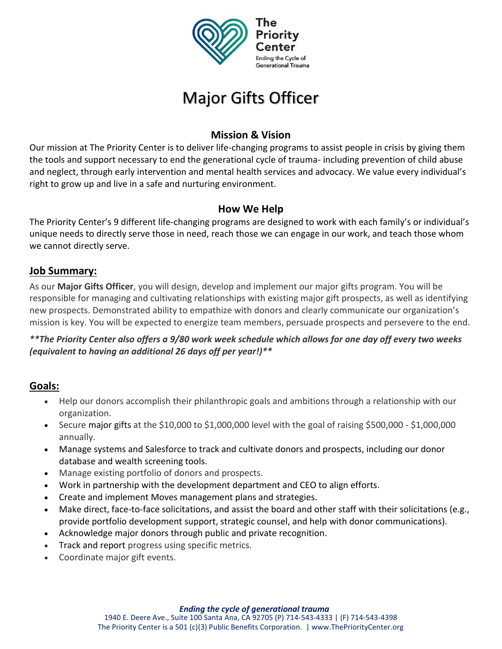

# Major Gifts Officer

# **Mission & Vision**

Our mission at The Priority Center is to deliver life-changing programs to assist people in crisis by giving them the tools and support necessary to end the generational cycle of trauma- including prevention of child abuse and neglect, through early intervention and mental health services and advocacy. We value every individual's right to grow up and live in a safe and nurturing environment.

### **How We Help**

The Priority Center's 9 different life-changing programs are designed to work with each family's or individual's unique needs to directly serve those in need, reach those we can engage in our work, and teach those whom we cannot directly serve.

### **Job Summary:**

As our **Major Gifts Officer**, you will design, develop and implement our major gifts program. You will be responsible for managing and cultivating relationships with existing major gift prospects, as well as identifying new prospects. Demonstrated ability to empathize with donors and clearly communicate our organization's mission is key. You will be expected to energize team members, persuade prospects and persevere to the end.

*\*\*The Priority Center also offers a 9/80 work week schedule which allows for one day off every two weeks (equivalent to having an additional 26 days off per year!)\*\**

# **Goals:**

- Help our donors accomplish their philanthropic goals and ambitions through a relationship with our organization.
- Secure major gifts at the \$10,000 to \$1,000,000 level with the goal of raising \$500,000 \$1,000,000 annually.
- Manage systems and Salesforce to track and cultivate donors and prospects, including our donor database and wealth screening tools.
- Manage existing portfolio of donors and prospects.
- Work in partnership with the development department and CEO to align efforts.
- Create and implement Moves management plans and strategies.
- Make direct, face-to-face solicitations, and assist the board and other staff with their solicitations (e.g., provide portfolio development support, strategic counsel, and help with donor communications).
- Acknowledge major donors through public and private recognition.
- Track and report progress using specific metrics.
- Coordinate major gift events.